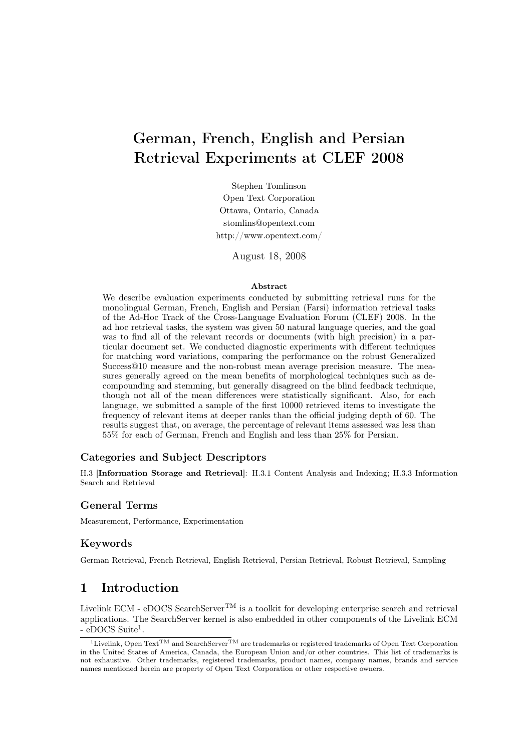# German, French, English and Persian Retrieval Experiments at CLEF 2008

Stephen Tomlinson Open Text Corporation Ottawa, Ontario, Canada stomlins@opentext.com http://www.opentext.com/

August 18, 2008

#### Abstract

We describe evaluation experiments conducted by submitting retrieval runs for the monolingual German, French, English and Persian (Farsi) information retrieval tasks of the Ad-Hoc Track of the Cross-Language Evaluation Forum (CLEF) 2008. In the ad hoc retrieval tasks, the system was given 50 natural language queries, and the goal was to find all of the relevant records or documents (with high precision) in a particular document set. We conducted diagnostic experiments with different techniques for matching word variations, comparing the performance on the robust Generalized Success@10 measure and the non-robust mean average precision measure. The measures generally agreed on the mean benefits of morphological techniques such as decompounding and stemming, but generally disagreed on the blind feedback technique, though not all of the mean differences were statistically significant. Also, for each language, we submitted a sample of the first 10000 retrieved items to investigate the frequency of relevant items at deeper ranks than the official judging depth of 60. The results suggest that, on average, the percentage of relevant items assessed was less than 55% for each of German, French and English and less than 25% for Persian.

# Categories and Subject Descriptors

H.3 [Information Storage and Retrieval]: H.3.1 Content Analysis and Indexing; H.3.3 Information Search and Retrieval

# General Terms

Measurement, Performance, Experimentation

# Keywords

German Retrieval, French Retrieval, English Retrieval, Persian Retrieval, Robust Retrieval, Sampling

# 1 Introduction

Livelink ECM - eDOCS SearchServer<sup>TM</sup> is a toolkit for developing enterprise search and retrieval applications. The SearchServer kernel is also embedded in other components of the Livelink ECM - eDOCS Suite<sup>1</sup>.

 $\frac{1}{1}$ Livelink, Open Text<sup>TM</sup> and SearchServer<sup>TM</sup> are trademarks or registered trademarks of Open Text Corporation in the United States of America, Canada, the European Union and/or other countries. This list of trademarks is not exhaustive. Other trademarks, registered trademarks, product names, company names, brands and service names mentioned herein are property of Open Text Corporation or other respective owners.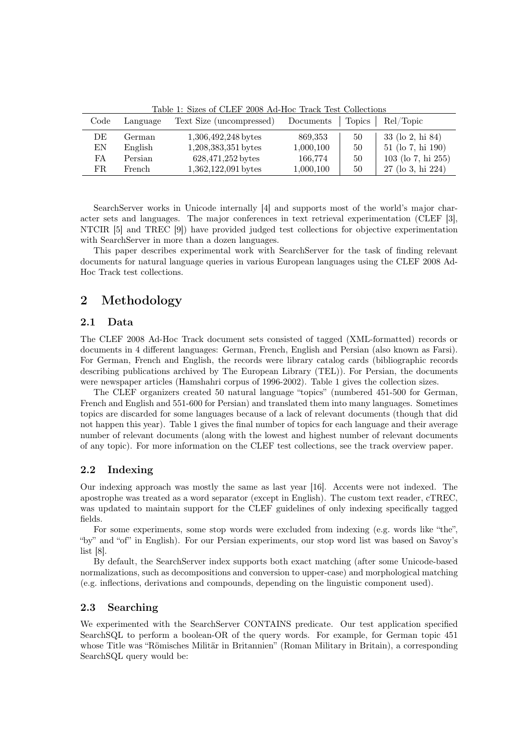| Code | Language | Text Size (uncompressed) | Documents | Topics | Rel/Topic               |
|------|----------|--------------------------|-----------|--------|-------------------------|
| DE.  | German   | 1,306,492,248 bytes      | 869,353   | 50     | $33$ (lo 2, hi 84)      |
| EN   | English  | 1,208,383,351 bytes      | 1,000,100 | 50     | 51 (lo 7, hi 190)       |
| FA   | Persian  | 628,471,252 bytes        | 166,774   | 50     | $103$ (lo 7, hi $255$ ) |
| FR.  | French   | $1,362,122,091$ bytes    | 1,000,100 | 50     | 27 (lo 3, hi 224)       |

Table 1: Sizes of CLEF 2008 Ad-Hoc Track Test Collections

SearchServer works in Unicode internally [4] and supports most of the world's major character sets and languages. The major conferences in text retrieval experimentation (CLEF [3], NTCIR [5] and TREC [9]) have provided judged test collections for objective experimentation with SearchServer in more than a dozen languages.

This paper describes experimental work with SearchServer for the task of finding relevant documents for natural language queries in various European languages using the CLEF 2008 Ad-Hoc Track test collections.

# 2 Methodology

# 2.1 Data

The CLEF 2008 Ad-Hoc Track document sets consisted of tagged (XML-formatted) records or documents in 4 different languages: German, French, English and Persian (also known as Farsi). For German, French and English, the records were library catalog cards (bibliographic records describing publications archived by The European Library (TEL)). For Persian, the documents were newspaper articles (Hamshahri corpus of 1996-2002). Table 1 gives the collection sizes.

The CLEF organizers created 50 natural language "topics" (numbered 451-500 for German, French and English and 551-600 for Persian) and translated them into many languages. Sometimes topics are discarded for some languages because of a lack of relevant documents (though that did not happen this year). Table 1 gives the final number of topics for each language and their average number of relevant documents (along with the lowest and highest number of relevant documents of any topic). For more information on the CLEF test collections, see the track overview paper.

# 2.2 Indexing

Our indexing approach was mostly the same as last year [16]. Accents were not indexed. The apostrophe was treated as a word separator (except in English). The custom text reader, cTREC, was updated to maintain support for the CLEF guidelines of only indexing specifically tagged fields.

For some experiments, some stop words were excluded from indexing (e.g. words like "the", "by" and "of" in English). For our Persian experiments, our stop word list was based on Savoy's list [8].

By default, the SearchServer index supports both exact matching (after some Unicode-based normalizations, such as decompositions and conversion to upper-case) and morphological matching (e.g. inflections, derivations and compounds, depending on the linguistic component used).

# 2.3 Searching

We experimented with the SearchServer CONTAINS predicate. Our test application specified SearchSQL to perform a boolean-OR of the query words. For example, for German topic 451 whose Title was "Römisches Militär in Britannien" (Roman Military in Britain), a corresponding SearchSQL query would be: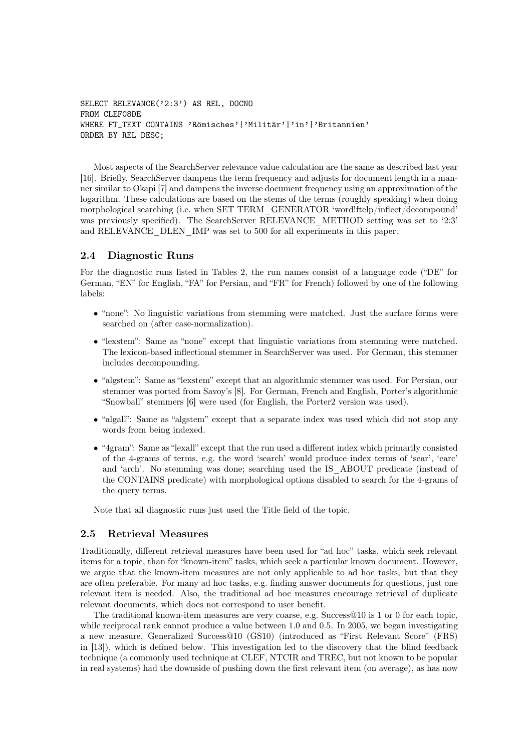```
SELECT RELEVANCE('2:3') AS REL, DOCNO
FROM CLEF08DE
WHERE FT_TEXT CONTAINS 'Römisches'|'Militär'|'in'|'Britannien'
ORDER BY REL DESC;
```
Most aspects of the SearchServer relevance value calculation are the same as described last year [16]. Briefly, SearchServer dampens the term frequency and adjusts for document length in a manner similar to Okapi [7] and dampens the inverse document frequency using an approximation of the logarithm. These calculations are based on the stems of the terms (roughly speaking) when doing morphological searching (i.e. when SET TERM\_GENERATOR 'word!ftelp/inflect/decompound' was previously specified). The SearchServer RELEVANCE\_METHOD setting was set to '2:3' and RELEVANCE\_DLEN\_IMP was set to 500 for all experiments in this paper.

# 2.4 Diagnostic Runs

For the diagnostic runs listed in Tables 2, the run names consist of a language code ("DE" for German, "EN" for English, "FA" for Persian, and "FR" for French) followed by one of the following labels:

- "none": No linguistic variations from stemming were matched. Just the surface forms were searched on (after case-normalization).
- "lexstem": Same as "none" except that linguistic variations from stemming were matched. The lexicon-based inflectional stemmer in SearchServer was used. For German, this stemmer includes decompounding.
- "algstem": Same as "lexstem" except that an algorithmic stemmer was used. For Persian, our stemmer was ported from Savoy's [8]. For German, French and English, Porter's algorithmic "Snowball" stemmers [6] were used (for English, the Porter2 version was used).
- "algall": Same as "algstem" except that a separate index was used which did not stop any words from being indexed.
- "4gram": Same as "lexall" except that the run used a different index which primarily consisted of the 4-grams of terms, e.g. the word 'search' would produce index terms of 'sear', 'earc' and 'arch'. No stemming was done; searching used the IS\_ABOUT predicate (instead of the CONTAINS predicate) with morphological options disabled to search for the 4-grams of the query terms.

Note that all diagnostic runs just used the Title field of the topic.

### 2.5 Retrieval Measures

Traditionally, different retrieval measures have been used for "ad hoc" tasks, which seek relevant items for a topic, than for "known-item" tasks, which seek a particular known document. However, we argue that the known-item measures are not only applicable to ad hoc tasks, but that they are often preferable. For many ad hoc tasks, e.g. finding answer documents for questions, just one relevant item is needed. Also, the traditional ad hoc measures encourage retrieval of duplicate relevant documents, which does not correspond to user benefit.

The traditional known-item measures are very coarse, e.g. Success@10 is 1 or 0 for each topic, while reciprocal rank cannot produce a value between 1.0 and 0.5. In 2005, we began investigating a new measure, Generalized Success@10 (GS10) (introduced as "First Relevant Score" (FRS) in [13]), which is defined below. This investigation led to the discovery that the blind feedback technique (a commonly used technique at CLEF, NTCIR and TREC, but not known to be popular in real systems) had the downside of pushing down the first relevant item (on average), as has now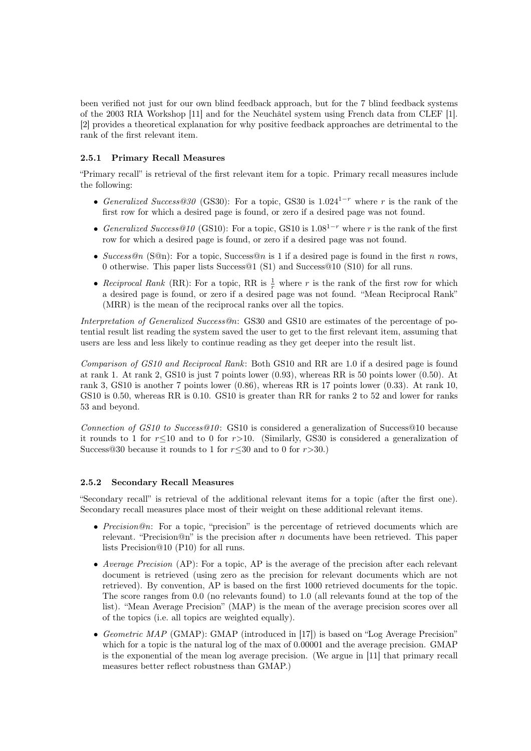been verified not just for our own blind feedback approach, but for the 7 blind feedback systems of the 2003 RIA Workshop [11] and for the Neuchâtel system using French data from CLEF [1]. [2] provides a theoretical explanation for why positive feedback approaches are detrimental to the rank of the first relevant item.

### 2.5.1 Primary Recall Measures

"Primary recall" is retrieval of the first relevant item for a topic. Primary recall measures include the following:

- Generalized Success@30 (GS30): For a topic, GS30 is  $1.024^{1-r}$  where r is the rank of the first row for which a desired page is found, or zero if a desired page was not found.
- Generalized Success@10 (GS10): For a topic, GS10 is  $1.08^{1-r}$  where r is the rank of the first row for which a desired page is found, or zero if a desired page was not found.
- Success@n (S@n): For a topic, Success@n is 1 if a desired page is found in the first n rows, 0 otherwise. This paper lists Success@1 (S1) and Success@10 (S10) for all runs.
- Reciprocal Rank (RR): For a topic, RR is  $\frac{1}{r}$  where r is the rank of the first row for which a desired page is found, or zero if a desired page was not found. "Mean Reciprocal Rank" (MRR) is the mean of the reciprocal ranks over all the topics.

Interpretation of Generalized Success@n: GS30 and GS10 are estimates of the percentage of potential result list reading the system saved the user to get to the first relevant item, assuming that users are less and less likely to continue reading as they get deeper into the result list.

Comparison of GS10 and Reciprocal Rank: Both GS10 and RR are 1.0 if a desired page is found at rank 1. At rank 2, GS10 is just 7 points lower (0.93), whereas RR is 50 points lower (0.50). At rank 3, GS10 is another 7 points lower (0.86), whereas RR is 17 points lower (0.33). At rank 10, GS10 is 0.50, whereas RR is 0.10. GS10 is greater than RR for ranks 2 to 52 and lower for ranks 53 and beyond.

Connection of GS10 to Success@10: GS10 is considered a generalization of Success@10 because it rounds to 1 for  $r \leq 10$  and to 0 for  $r > 10$ . (Similarly, GS30 is considered a generalization of Success@30 because it rounds to 1 for  $r \leq 30$  and to 0 for  $r > 30$ .)

#### 2.5.2 Secondary Recall Measures

"Secondary recall" is retrieval of the additional relevant items for a topic (after the first one). Secondary recall measures place most of their weight on these additional relevant items.

- Precision@n: For a topic, "precision" is the percentage of retrieved documents which are relevant. "Precision $@n"$  is the precision after n documents have been retrieved. This paper lists Precision@10 (P10) for all runs.
- Average Precision (AP): For a topic, AP is the average of the precision after each relevant document is retrieved (using zero as the precision for relevant documents which are not retrieved). By convention, AP is based on the first 1000 retrieved documents for the topic. The score ranges from 0.0 (no relevants found) to 1.0 (all relevants found at the top of the list). "Mean Average Precision" (MAP) is the mean of the average precision scores over all of the topics (i.e. all topics are weighted equally).
- Geometric MAP (GMAP): GMAP (introduced in [17]) is based on "Log Average Precision" which for a topic is the natural log of the max of 0.00001 and the average precision. GMAP is the exponential of the mean log average precision. (We argue in [11] that primary recall measures better reflect robustness than GMAP.)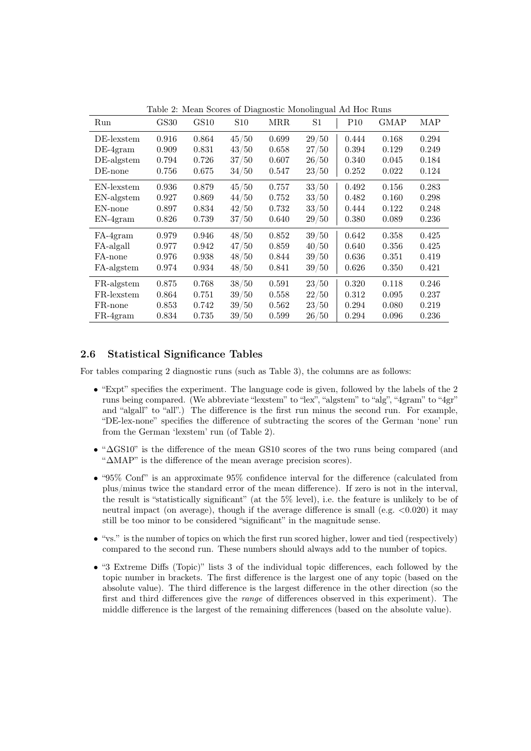| Run          | GS30  | GS10  | S <sub>10</sub> | MRR   | $^{\rm S1}$ | P10   | <b>GMAP</b> | MAP   |
|--------------|-------|-------|-----------------|-------|-------------|-------|-------------|-------|
| DE-lexstem   | 0.916 | 0.864 | 45/50           | 0.699 | 29/50       | 0.444 | 0.168       | 0.294 |
| $DE-4$ gram  | 0.909 | 0.831 | 43/50           | 0.658 | 27/50       | 0.394 | 0.129       | 0.249 |
| $DE-algstem$ | 0.794 | 0.726 | 37/50           | 0.607 | 26/50       | 0.340 | 0.045       | 0.184 |
| $DE$ -none   | 0.756 | 0.675 | 34/50           | 0.547 | 23/50       | 0.252 | 0.022       | 0.124 |
| EN-lexstem   | 0.936 | 0.879 | 45/50           | 0.757 | 33/50       | 0.492 | 0.156       | 0.283 |
| EN-algstem   | 0.927 | 0.869 | 44/50           | 0.752 | 33/50       | 0.482 | 0.160       | 0.298 |
| $EN$ -none   | 0.897 | 0.834 | 42/50           | 0.732 | 33/50       | 0.444 | 0.122       | 0.248 |
| $EN-4gram$   | 0.826 | 0.739 | 37/50           | 0.640 | 29/50       | 0.380 | 0.089       | 0.236 |
| FA-4gram     | 0.979 | 0.946 | 48/50           | 0.852 | 39/50       | 0.642 | 0.358       | 0.425 |
| FA-algall    | 0.977 | 0.942 | 47/50           | 0.859 | 40/50       | 0.640 | 0.356       | 0.425 |
| FA-none      | 0.976 | 0.938 | 48/50           | 0.844 | 39/50       | 0.636 | 0.351       | 0.419 |
| FA-algstem   | 0.974 | 0.934 | 48/50           | 0.841 | 39/50       | 0.626 | 0.350       | 0.421 |
| FR-algstem   | 0.875 | 0.768 | 38/50           | 0.591 | 23/50       | 0.320 | 0.118       | 0.246 |
| FR-lexstem   | 0.864 | 0.751 | 39/50           | 0.558 | 22/50       | 0.312 | 0.095       | 0.237 |
| FR-none      | 0.853 | 0.742 | 39/50           | 0.562 | 23/50       | 0.294 | 0.080       | 0.219 |
| $FR-4gram$   | 0.834 | 0.735 | 39/50           | 0.599 | 26/50       | 0.294 | 0.096       | 0.236 |

Table 2: Mean Scores of Diagnostic Monolingual Ad Hoc Runs

# 2.6 Statistical Significance Tables

For tables comparing 2 diagnostic runs (such as Table 3), the columns are as follows:

- $\bullet$  "Expt" specifies the experiment. The language code is given, followed by the labels of the 2 runs being compared. (We abbreviate "lexstem" to "lex", "algstem" to "alg", "4gram" to "4gr" and "algall" to "all".) The difference is the first run minus the second run. For example, "DE-lex-none" specifies the difference of subtracting the scores of the German 'none' run from the German 'lexstem' run (of Table 2).
- "∆GS10" is the difference of the mean GS10 scores of the two runs being compared (and "∆MAP" is the difference of the mean average precision scores).
- "95% Conf" is an approximate 95% confidence interval for the difference (calculated from plus/minus twice the standard error of the mean difference). If zero is not in the interval, the result is "statistically significant" (at the 5% level), i.e. the feature is unlikely to be of neutral impact (on average), though if the average difference is small (e.g.  $\lt 0.020$ ) it may still be too minor to be considered "significant" in the magnitude sense.
- $\bullet$  "vs." is the number of topics on which the first run scored higher, lower and tied (respectively) compared to the second run. These numbers should always add to the number of topics.
- "3 Extreme Diffs (Topic)" lists 3 of the individual topic differences, each followed by the topic number in brackets. The first difference is the largest one of any topic (based on the absolute value). The third difference is the largest difference in the other direction (so the first and third differences give the range of differences observed in this experiment). The middle difference is the largest of the remaining differences (based on the absolute value).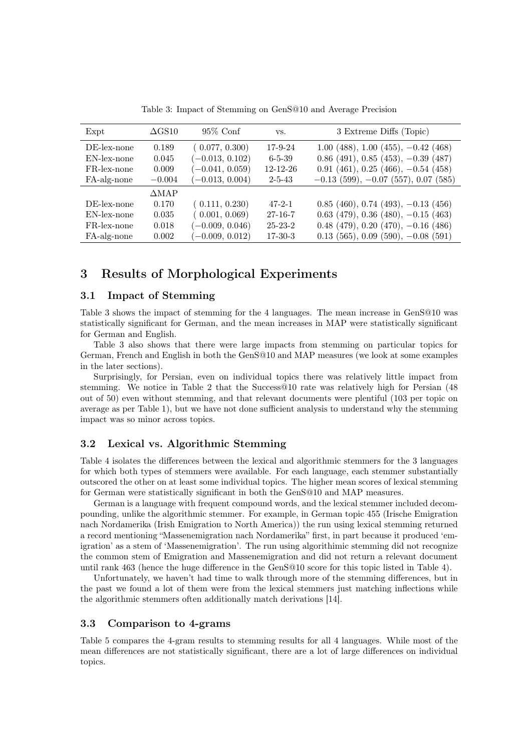| Expt           | $\Delta$ GS10   | $95\%$ Conf       | VS.            | 3 Extreme Diffs (Topic)                   |
|----------------|-----------------|-------------------|----------------|-------------------------------------------|
| $DE$ -lex-none | 0.189           | (0.077, 0.300)    | $17 - 9 - 24$  | $1.00$ (488), $1.00$ (455), $-0.42$ (468) |
| EN-lex-none    | 0.045           | $-0.013, 0.102$   | $6 - 5 - 39$   | $0.86$ (491), $0.85$ (453), $-0.39$ (487) |
| FR-lex-none    | 0.009           | $(-0.041, 0.059)$ | $12 - 12 - 26$ | $0.91$ (461), $0.25$ (466), $-0.54$ (458) |
| FA-alg-none    | $-0.004$        | $(-0.013, 0.004)$ | $2 - 5 - 43$   | $-0.13$ (599), $-0.07$ (557), 0.07 (585)  |
|                | $\triangle MAP$ |                   |                |                                           |
| DF-lex-none    | 0.170           | (0.111, 0.230)    | $47 - 2 - 1$   | $0.85$ (460), 0.74 (493), $-0.13$ (456)   |
| EN-lex-none    | 0.035           | (0.001, 0.069)    | $27 - 16 - 7$  | $0.63$ (479), 0.36 (480), $-0.15$ (463)   |
| FR-lex-none    | 0.018           | $(-0.009, 0.046)$ | $25 - 23 - 2$  | $0.48$ (479), 0.20 (470), $-0.16$ (486)   |
| FA-alg-none    | 0.002           | $-0.009, 0.012)$  | $17-30-3$      | $0.13$ (565), $0.09$ (590), $-0.08$ (591) |

Table 3: Impact of Stemming on GenS@10 and Average Precision

# 3 Results of Morphological Experiments

### 3.1 Impact of Stemming

Table 3 shows the impact of stemming for the 4 languages. The mean increase in GenS@10 was statistically significant for German, and the mean increases in MAP were statistically significant for German and English.

Table 3 also shows that there were large impacts from stemming on particular topics for German, French and English in both the GenS@10 and MAP measures (we look at some examples in the later sections).

Surprisingly, for Persian, even on individual topics there was relatively little impact from stemming. We notice in Table 2 that the Success@10 rate was relatively high for Persian (48 out of 50) even without stemming, and that relevant documents were plentiful (103 per topic on average as per Table 1), but we have not done sufficient analysis to understand why the stemming impact was so minor across topics.

### 3.2 Lexical vs. Algorithmic Stemming

Table 4 isolates the differences between the lexical and algorithmic stemmers for the 3 languages for which both types of stemmers were available. For each language, each stemmer substantially outscored the other on at least some individual topics. The higher mean scores of lexical stemming for German were statistically significant in both the GenS@10 and MAP measures.

German is a language with frequent compound words, and the lexical stemmer included decompounding, unlike the algorithmic stemmer. For example, in German topic 455 (Irische Emigration nach Nordamerika (Irish Emigration to North America)) the run using lexical stemming returned a record mentioning "Massenemigration nach Nordamerika" first, in part because it produced 'emigration' as a stem of 'Massenemigration'. The run using algorithimic stemming did not recognize the common stem of Emigration and Massenemigration and did not return a relevant document until rank 463 (hence the huge difference in the GenS@10 score for this topic listed in Table 4).

Unfortunately, we haven't had time to walk through more of the stemming differences, but in the past we found a lot of them were from the lexical stemmers just matching inflections while the algorithmic stemmers often additionally match derivations [14].

### 3.3 Comparison to 4-grams

Table 5 compares the 4-gram results to stemming results for all 4 languages. While most of the mean differences are not statistically significant, there are a lot of large differences on individual topics.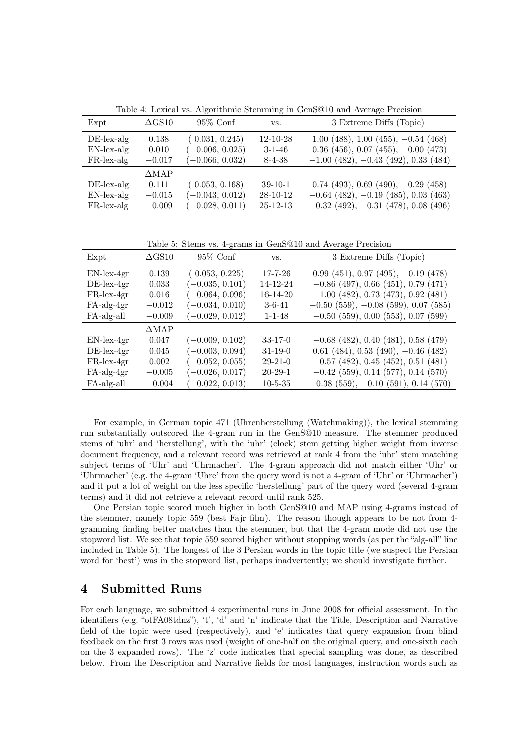Table 4: Lexical vs. Algorithmic Stemming in GenS@10 and Average Precision

| Expt          | $\Delta$ GS10   | $95\%$ Conf       | VS.            | 3 Extreme Diffs (Topic)                   |
|---------------|-----------------|-------------------|----------------|-------------------------------------------|
| $DE$ -lex-alg | 0.138           | (0.031, 0.245)    | $12 - 10 - 28$ | $1.00$ (488), $1.00$ (455), $-0.54$ (468) |
| $EN$ -lex-alg | 0.010           | $(-0.006, 0.025)$ | $3 - 1 - 46$   | $0.36$ (456), 0.07 (455), $-0.00$ (473)   |
| $FR$ -lex-alg | $-0.017$        | $(-0.066, 0.032)$ | $8 - 4 - 38$   | $-1.00$ (482), $-0.43$ (492), 0.33 (484)  |
|               | $\triangle MAP$ |                   |                |                                           |
| $DE$ -lex-alg | 0.111           | (0.053, 0.168)    | $39-10-1$      | $0.74$ (493), 0.69 (490), $-0.29$ (458)   |
| $EN$ -lex-alg | $-0.015$        | $(-0.043, 0.012)$ | 28-10-12       | $-0.64$ (482), $-0.19$ (485), 0.03 (463)  |
| $FR$ -lex-alg | $-0.009$        | $(-0.028, 0.011)$ | $25 - 12 - 13$ | $-0.32$ (492), $-0.31$ (478), 0.08 (496)  |

Table 5: Stems vs. 4-grams in GenS@10 and Average Precision

| Expt          | $\Delta$ GS10   | $95\%$ Conf       | VS.           | 3 Extreme Diffs (Topic)                   |
|---------------|-----------------|-------------------|---------------|-------------------------------------------|
| $EN$ -lex-4gr | 0.139           | (0.053, 0.225)    | 17-7-26       | $0.99(451), 0.97(495), -0.19(478)$        |
| $DE$ -lex-4gr | 0.033           | $(-0.035, 0.101)$ | 14-12-24      | $-0.86$ (497), 0.66 (451), 0.79 (471)     |
| $FR$ -lex-4gr | 0.016           | $(-0.064, 0.096)$ | $16-14-20$    | $-1.00$ (482), 0.73 (473), 0.92 (481)     |
| $FA-alg-4gr$  | $-0.012$        | $(-0.034, 0.010)$ | $3-6-41$      | $-0.50$ (559), $-0.08$ (599), 0.07 (585)  |
| FA-alg-all    | $-0.009$        | $(-0.029, 0.012)$ | $1 - 1 - 48$  | $-0.50$ (559), 0.00 (553), 0.07 (599)     |
|               | $\triangle MAP$ |                   |               |                                           |
| $EN$ -lex-4gr | 0.047           | $(-0.009, 0.102)$ | $33 - 17 - 0$ | $-0.68$ (482), 0.40 (481), 0.58 (479)     |
| $DE$ -lex-4gr | 0.045           | $(-0.003, 0.094)$ | $31-19-0$     | $0.61$ (484), $0.53$ (490), $-0.46$ (482) |
| $FR$ -lex-4gr | 0.002           | $(-0.052, 0.055)$ | $29-21-0$     | $-0.57$ (482), 0.45 (452), 0.51 (481)     |
| $FA-alg-4gr$  | $-0.005$        | $(-0.026, 0.017)$ | $20-29-1$     | $-0.42$ (559), 0.14 (577), 0.14 (570)     |
| FA-alg-all    | $-0.004$        | $(-0.022, 0.013)$ | $10-5-35$     | $-0.38$ (559), $-0.10$ (591), 0.14 (570)  |

For example, in German topic 471 (Uhrenherstellung (Watchmaking)), the lexical stemming run substantially outscored the 4-gram run in the GenS@10 measure. The stemmer produced stems of 'uhr' and 'herstellung', with the 'uhr' (clock) stem getting higher weight from inverse document frequency, and a relevant record was retrieved at rank 4 from the 'uhr' stem matching subject terms of 'Uhr' and 'Uhrmacher'. The 4-gram approach did not match either 'Uhr' or 'Uhrmacher' (e.g. the 4-gram 'Uhre' from the query word is not a 4-gram of 'Uhr' or 'Uhrmacher') and it put a lot of weight on the less specific 'herstellung' part of the query word (several 4-gram terms) and it did not retrieve a relevant record until rank 525.

One Persian topic scored much higher in both GenS@10 and MAP using 4-grams instead of the stemmer, namely topic 559 (best Fajr film). The reason though appears to be not from 4 gramming finding better matches than the stemmer, but that the 4-gram mode did not use the stopword list. We see that topic 559 scored higher without stopping words (as per the "alg-all" line included in Table 5). The longest of the 3 Persian words in the topic title (we suspect the Persian word for 'best') was in the stopword list, perhaps inadvertently; we should investigate further.

# 4 Submitted Runs

For each language, we submitted 4 experimental runs in June 2008 for official assessment. In the identifiers (e.g. "otFA08tdnz"), 't', 'd' and 'n' indicate that the Title, Description and Narrative field of the topic were used (respectively), and 'e' indicates that query expansion from blind feedback on the first 3 rows was used (weight of one-half on the original query, and one-sixth each on the 3 expanded rows). The 'z' code indicates that special sampling was done, as described below. From the Description and Narrative fields for most languages, instruction words such as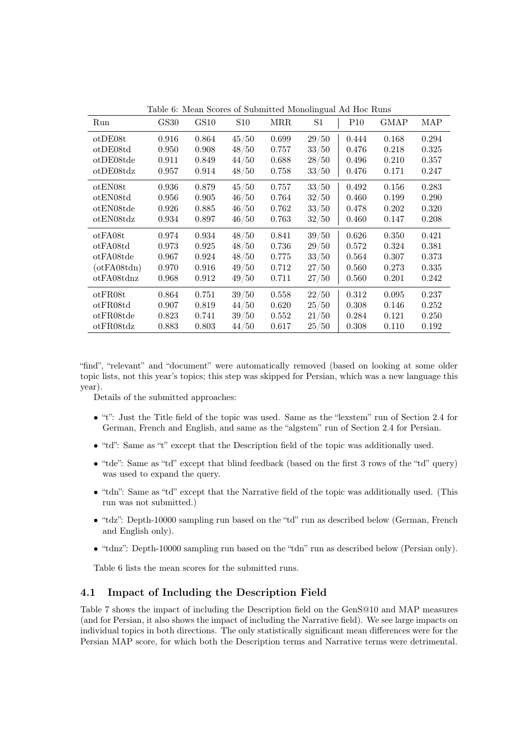| Run                         | GS30  | GS10  | S10   | <b>MRR</b> | S1    | P10   | <b>GMAP</b> | MAP   |
|-----------------------------|-------|-------|-------|------------|-------|-------|-------------|-------|
| $ot$ DE08t                  | 0.916 | 0.864 | 45/50 | 0.699      | 29/50 | 0.444 | 0.168       | 0.294 |
| $ot$ DE08td                 | 0.950 | 0.908 | 48/50 | 0.757      | 33/50 | 0.476 | 0.218       | 0.325 |
| otDE08tde                   | 0.911 | 0.849 | 44/50 | 0.688      | 28/50 | 0.496 | 0.210       | 0.357 |
| $ot$ DE08tdz                | 0.957 | 0.914 | 48/50 | 0.758      | 33/50 | 0.476 | 0.171       | 0.247 |
| otEN08t                     | 0.936 | 0.879 | 45/50 | 0.757      | 33/50 | 0.492 | 0.156       | 0.283 |
| otEN08td                    | 0.956 | 0.905 | 46/50 | 0.764      | 32/50 | 0.460 | 0.199       | 0.290 |
| otEN08tde                   | 0.926 | 0.885 | 46/50 | 0.762      | 33/50 | 0.478 | 0.202       | 0.320 |
| otEN08tdz                   | 0.934 | 0.897 | 46/50 | 0.763      | 32/50 | 0.460 | 0.147       | 0.208 |
| $ot$ FA08t                  | 0.974 | 0.934 | 48/50 | 0.841      | 39/50 | 0.626 | 0.350       | 0.421 |
| $ot$ FA08td                 | 0.973 | 0.925 | 48/50 | 0.736      | 29/50 | 0.572 | 0.324       | 0.381 |
| otFA08tde                   | 0.967 | 0.924 | 48/50 | 0.775      | 33/50 | 0.564 | 0.307       | 0.373 |
| $(\text{otFA}08\text{tdn})$ | 0.970 | 0.916 | 49/50 | 0.712      | 27/50 | 0.560 | 0.273       | 0.335 |
| $ot$ FA08 $td$ nz           | 0.968 | 0.912 | 49/50 | 0.711      | 27/50 | 0.560 | 0.201       | 0.242 |
| otFR08t                     | 0.864 | 0.751 | 39/50 | 0.558      | 22/50 | 0.312 | 0.095       | 0.237 |
| otFR08td                    | 0.907 | 0.819 | 44/50 | 0.620      | 25/50 | 0.308 | 0.146       | 0.252 |
| otFR08tde                   | 0.823 | 0.741 | 39/50 | 0.552      | 21/50 | 0.284 | 0.121       | 0.250 |
| otFR08tdz                   | 0.883 | 0.803 | 44/50 | 0.617      | 25/50 | 0.308 | 0.110       | 0.192 |

Table 6: Mean Scores of Submitted Monolingual Ad Hoc Runs

"find", "relevant" and "document" were automatically removed (based on looking at some older topic lists, not this year's topics; this step was skipped for Persian, which was a new language this year).

Details of the submitted approaches:

- "t": Just the Title field of the topic was used. Same as the "lexstem" run of Section 2.4 for German, French and English, and same as the "algstem" run of Section 2.4 for Persian.
- "td": Same as "t" except that the Description field of the topic was additionally used.
- "tde": Same as "td" except that blind feedback (based on the first 3 rows of the "td" query) was used to expand the query.
- "tdn": Same as "td" except that the Narrative field of the topic was additionally used. (This run was not submitted.)
- "tdz": Depth-10000 sampling run based on the "td" run as described below (German, French and English only).
- "tdnz": Depth-10000 sampling run based on the "tdn" run as described below (Persian only).

Table 6 lists the mean scores for the submitted runs.

### 4.1 Impact of Including the Description Field

Table 7 shows the impact of including the Description field on the GenS@10 and MAP measures (and for Persian, it also shows the impact of including the Narrative field). We see large impacts on individual topics in both directions. The only statistically significant mean differences were for the Persian MAP score, for which both the Description terms and Narrative terms were detrimental.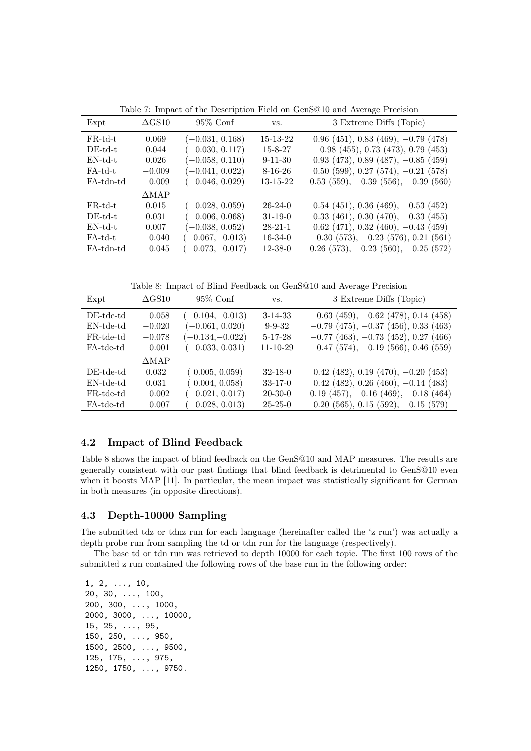| Expt       | $\Delta$ GS10   | $95\%$ Conf       | VS.           | 3 Extreme Diffs (Topic)                    |
|------------|-----------------|-------------------|---------------|--------------------------------------------|
| $FR$ -td-t | 0.069           | $(-0.031, 0.168)$ | 15-13-22      | $0.96$ (451), 0.83 (469), $-0.79$ (478)    |
| $DE-td-t$  | 0.044           | $(-0.030, 0.117)$ | $15 - 8 - 27$ | $-0.98$ (455), 0.73 (473), 0.79 (453)      |
| EN-td-t    | 0.026           | $(-0.058, 0.110)$ | $9 - 11 - 30$ | $0.93$ (473), $0.89$ (487), $-0.85$ (459)  |
| FA-td-t    | $-0.009$        | $(-0.041, 0.022)$ | $8 - 16 - 26$ | $0.50(599), 0.27(574), -0.21(578)$         |
| FA-tdn-td  | $-0.009$        | $(-0.046, 0.029)$ | 13-15-22      | $0.53$ (559), $-0.39$ (556), $-0.39$ (560) |
|            | $\triangle MAP$ |                   |               |                                            |
| $FR$ -td-t | 0.015           | $(-0.028, 0.059)$ | $26-24-0$     | $0.54$ (451), 0.36 (469), $-0.53$ (452)    |
| $DE$ -td-t | 0.031           | $(-0.006, 0.068)$ | $31 - 19 - 0$ | $0.33$ (461), 0.30 (470), $-0.33$ (455)    |
| $EN-td-t$  | 0.007           | $(-0.038, 0.052)$ | $28 - 21 - 1$ | $0.62$ (471), $0.32$ (460), $-0.43$ (459)  |
| FA-td-t    | $-0.040$        | $(-0.067,-0.013)$ | $16-34-0$     | $-0.30$ (573), $-0.23$ (576), 0.21 (561)   |
| FA-tdn-td  | $-0.045$        | $(-0.073,-0.017)$ | $12 - 38 - 0$ | $0.26$ (573), $-0.23$ (560), $-0.25$ (572) |

Table 7: Impact of the Description Field on GenS@10 and Average Precision

Table 8: Impact of Blind Feedback on GenS@10 and Average Precision

| Expt         | $\Delta$ GS10   | $95\%$ Conf       | VS.            | 3 Extreme Diffs (Topic)                    |
|--------------|-----------------|-------------------|----------------|--------------------------------------------|
| $DE$ -tde-td | $-0.058$        | $(-0.104,-0.013)$ | $3-14-33$      | $-0.63$ (459), $-0.62$ (478), 0.14 (458)   |
| EN-tde-td    | $-0.020$        | $(-0.061, 0.020)$ | $9 - 9 - 32$   | $-0.79$ (475), $-0.37$ (456), 0.33 (463)   |
| FR-tde-td    | $-0.078$        | $(-0.134,-0.022)$ | $5 - 17 - 28$  | $-0.77$ (463), $-0.73$ (452), 0.27 (466)   |
| FA-tde-td    | $-0.001$        | $(-0.033, 0.031)$ | $11 - 10 - 29$ | $-0.47$ (574), $-0.19$ (566), 0.46 (559)   |
|              | $\triangle MAP$ |                   |                |                                            |
| $DE$ -tde-td | 0.032           | (0.005, 0.059)    | $32 - 18 - 0$  | $0.42$ (482), $0.19$ (470), $-0.20$ (453)  |
| EN-tde-td    | 0.031           | (0.004, 0.058)    | $33 - 17 - 0$  | $0.42$ (482), $0.26$ (460), $-0.14$ (483)  |
| FR-tde-td    | $-0.002$        | $(-0.021, 0.017)$ | $20 - 30 - 0$  | $0.19$ (457), $-0.16$ (469), $-0.18$ (464) |
| FA-tde-td    | $-0.007$        | $(-0.028, 0.013)$ | $25 - 25 - 0$  | $0.20(565), 0.15(592), -0.15(579)$         |
|              |                 |                   |                |                                            |

# 4.2 Impact of Blind Feedback

Table 8 shows the impact of blind feedback on the GenS@10 and MAP measures. The results are generally consistent with our past findings that blind feedback is detrimental to GenS@10 even when it boosts MAP [11]. In particular, the mean impact was statistically significant for German in both measures (in opposite directions).

# 4.3 Depth-10000 Sampling

The submitted tdz or tdnz run for each language (hereinafter called the 'z run') was actually a depth probe run from sampling the td or tdn run for the language (respectively).

The base td or tdn run was retrieved to depth 10000 for each topic. The first 100 rows of the submitted z run contained the following rows of the base run in the following order:

1, 2, ..., 10, 20, 30, ..., 100, 200, 300, ..., 1000, 2000, 3000, ..., 10000, 15, 25, ..., 95, 150, 250, ..., 950, 1500, 2500, ..., 9500, 125, 175, ..., 975, 1250, 1750, ..., 9750.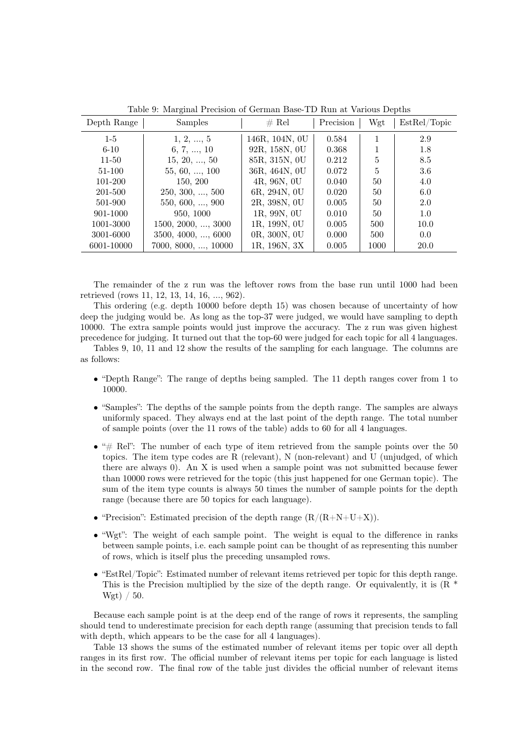| Depth Range | Samples                     | $\#$ Rel       | Precision | Wgt  | EstRel/Topic |
|-------------|-----------------------------|----------------|-----------|------|--------------|
| $1-5$       | 1, 2, , 5                   | 146R, 104N, 0U | 0.584     |      | 2.9          |
| $6-10$      | 6, 7, , 10                  | 92R, 158N, 0U  | 0.368     |      | 1.8          |
| $11 - 50$   | 15, 20, , 50                | 85R, 315N, 0U  | 0.212     | 5    | 8.5          |
| 51-100      | $55, 60, \ldots, 100$       | 36R, 464N, 0U  | 0.072     | 5    | 3.6          |
| 101-200     | 150, 200                    | 4R, 96N, 0U    | 0.040     | 50   | 4.0          |
| 201-500     | $250, 300, \ldots, 500$     | 6R, 294N, 0U   | 0.020     | 50   | 6.0          |
| 501-900     | $550, 600, \ldots, 900$     | 2R, 398N, 0U   | 0.005     | 50   | 2.0          |
| 901-1000    | 950, 1000                   | 1R, 99N, 0U    | 0.010     | 50   | 1.0          |
| 1001-3000   | $1500, 2000, \ldots, 3000$  | 1R, 199N, 0U   | 0.005     | 500  | 10.0         |
| 3001-6000   | $3500, 4000, \ldots, 6000$  | 0R, 300N, 0U   | 0.000     | 500  | 0.0          |
| 6001-10000  | $7000, 8000, \ldots, 10000$ | 1R, 196N, 3X   | 0.005     | 1000 | 20.0         |

Table 9: Marginal Precision of German Base-TD Run at Various Depths

The remainder of the z run was the leftover rows from the base run until 1000 had been retrieved (rows 11, 12, 13, 14, 16, ..., 962).

This ordering (e.g. depth 10000 before depth 15) was chosen because of uncertainty of how deep the judging would be. As long as the top-37 were judged, we would have sampling to depth 10000. The extra sample points would just improve the accuracy. The z run was given highest precedence for judging. It turned out that the top-60 were judged for each topic for all 4 languages.

Tables 9, 10, 11 and 12 show the results of the sampling for each language. The columns are as follows:

- "Depth Range": The range of depths being sampled. The 11 depth ranges cover from 1 to 10000.
- "Samples": The depths of the sample points from the depth range. The samples are always uniformly spaced. They always end at the last point of the depth range. The total number of sample points (over the 11 rows of the table) adds to 60 for all 4 languages.
- " $#$  Rel": The number of each type of item retrieved from the sample points over the 50 topics. The item type codes are R (relevant), N (non-relevant) and U (unjudged, of which there are always 0). An X is used when a sample point was not submitted because fewer than 10000 rows were retrieved for the topic (this just happened for one German topic). The sum of the item type counts is always 50 times the number of sample points for the depth range (because there are 50 topics for each language).
- "Precision": Estimated precision of the depth range  $(R/(R+N+U+X))$ .
- $\bullet$  "Wgt": The weight of each sample point. The weight is equal to the difference in ranks between sample points, i.e. each sample point can be thought of as representing this number of rows, which is itself plus the preceding unsampled rows.
- "EstRel/Topic": Estimated number of relevant items retrieved per topic for this depth range. This is the Precision multiplied by the size of the depth range. Or equivalently, it is  $(R^*$ Wgt) / 50.

Because each sample point is at the deep end of the range of rows it represents, the sampling should tend to underestimate precision for each depth range (assuming that precision tends to fall with depth, which appears to be the case for all 4 languages).

Table 13 shows the sums of the estimated number of relevant items per topic over all depth ranges in its first row. The official number of relevant items per topic for each language is listed in the second row. The final row of the table just divides the official number of relevant items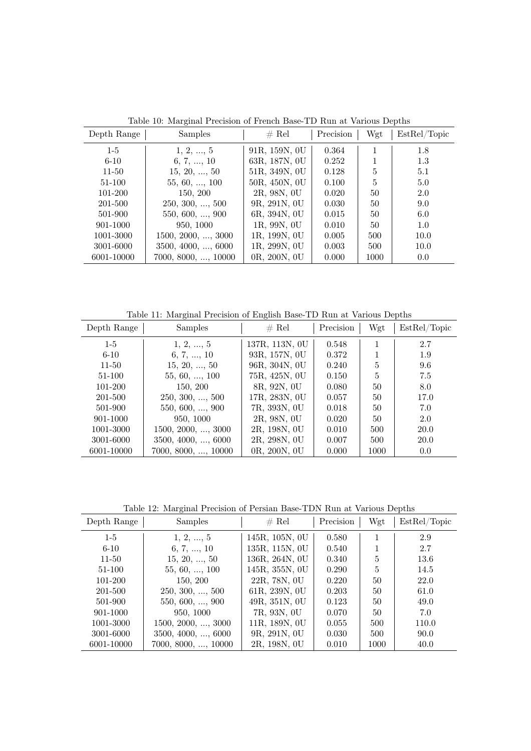| Depth Range | <b>Samples</b>              | $\#$ Rel      | Precision | Wgt  | EstRel/Topic |
|-------------|-----------------------------|---------------|-----------|------|--------------|
| $1-5$       | 1, 2, , 5                   | 91R, 159N, 0U | 0.364     | 1    | 1.8          |
| $6-10$      | 6, 7, , 10                  | 63R, 187N, 0U | 0.252     |      | 1.3          |
| $11 - 50$   | 15, 20, , 50                | 51R, 349N, 0U | 0.128     | 5    | 5.1          |
| 51-100      | $55, 60, \ldots, 100$       | 50R, 450N, 0U | 0.100     | 5    | 5.0          |
| 101-200     | 150, 200                    | 2R, 98N, 0U   | 0.020     | 50   | 2.0          |
| 201-500     | $250, 300, \ldots, 500$     | 9R, 291N, 0U  | 0.030     | 50   | 9.0          |
| 501-900     | 550, 600, , 900             | 6R, 394N, 0U  | 0.015     | 50   | 6.0          |
| 901-1000    | 950, 1000                   | 1R, 99N, 0U   | 0.010     | 50   | 1.0          |
| 1001-3000   | $1500, 2000, \ldots, 3000$  | 1R, 199N, 0U  | 0.005     | 500  | 10.0         |
| 3001-6000   | $3500, 4000, \ldots, 6000$  | 1R, 299N, 0U  | 0.003     | 500  | 10.0         |
| 6001-10000  | $7000, 8000, \ldots, 10000$ | 0R, 200N, 0U  | 0.000     | 1000 | 0.0          |

Table 10: Marginal Precision of French Base-TD Run at Various Depths

Table 11: Marginal Precision of English Base-TD Run at Various Depths

| Depth Range | Samples                    | # Rel          | Precision | Wgt  | EstRel/Topic |
|-------------|----------------------------|----------------|-----------|------|--------------|
| $1-5$       | 1, 2, , 5                  | 137R, 113N, 0U | 0.548     |      | 2.7          |
| $6-10$      | 6, 7, , 10                 | 93R, 157N, 0U  | 0.372     |      | 1.9          |
| $11 - 50$   | 15, 20, , 50               | 96R, 304N, 0U  | 0.240     | 5    | 9.6          |
| 51-100      | $55, 60, \ldots, 100$      | 75R, 425N, 0U  | 0.150     | 5    | 7.5          |
| 101-200     | 150, 200                   | 8R, 92N, 0U    | 0.080     | 50   | 8.0          |
| 201-500     | $250, 300, \ldots, 500$    | 17R. 283N. OU  | 0.057     | 50   | 17.0         |
| 501-900     | $550, 600, \ldots, 900$    | 7R, 393N, 0U   | 0.018     | 50   | 7.0          |
| 901-1000    | 950, 1000                  | 2R, 98N, 0U    | 0.020     | 50   | 2.0          |
| 1001-3000   | $1500, 2000, \ldots, 3000$ | 2R, 198N, 0U   | 0.010     | 500  | 20.0         |
| 3001-6000   | $3500, 4000, \ldots, 6000$ | 2R, 298N, 0U   | 0.007     | 500  | 20.0         |
| 6001-10000  | 7000, 8000, , 10000        | 0R, 200N, 0U   | 0.000     | 1000 | 0.0          |

Table 12: Marginal Precision of Persian Base-TDN Run at Various Depths

| Depth Range | <b>Samples</b>             | $#$ Rel        | Precision | Wgt  | EstRel/Topic |
|-------------|----------------------------|----------------|-----------|------|--------------|
| $1-5$       | 1, 2, , 5                  | 145R, 105N, 0U | 0.580     |      | 2.9          |
| $6 - 10$    | 6, 7, , 10                 | 135R, 115N, 0U | 0.540     |      | 2.7          |
| $11 - 50$   | 15, 20, , 50               | 136R, 264N, 0U | 0.340     | 5    | 13.6         |
| 51-100      | $55, 60, \ldots, 100$      | 145R, 355N, 0U | 0.290     | 5    | 14.5         |
| $101 - 200$ | 150, 200                   | 22R, 78N, 0U   | 0.220     | 50   | 22.0         |
| 201-500     | $250, 300, \ldots, 500$    | 61R, 239N, 0U  | 0.203     | 50   | 61.0         |
| 501-900     | 550, 600, , 900            | 49R, 351N, 0U  | 0.123     | 50   | 49.0         |
| 901-1000    | 950, 1000                  | 7R, 93N, 0U    | 0.070     | 50   | 7.0          |
| 1001-3000   | $1500, 2000, \ldots, 3000$ | 11R, 189N, 0U  | 0.055     | 500  | 110.0        |
| 3001-6000   | $3500, 4000, \ldots, 6000$ | 9R, 291N, 0U   | 0.030     | 500  | 90.0         |
| 6001-10000  | 7000, 8000, , 10000        | 2R, 198N, 0U   | 0.010     | 1000 | 40.0         |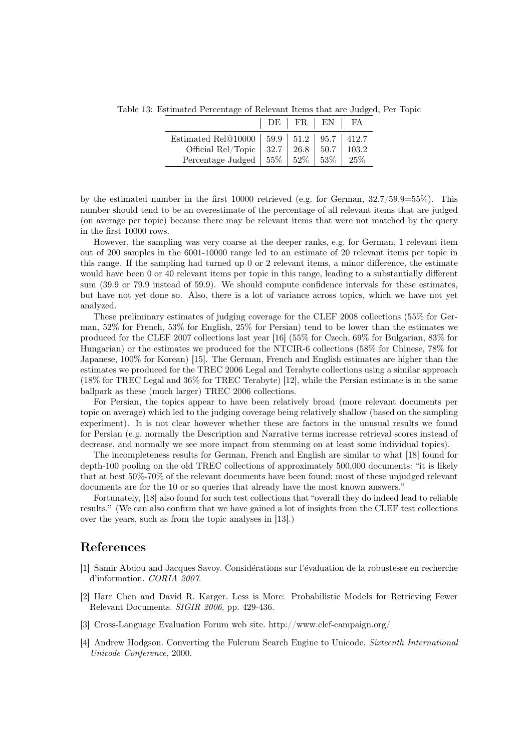Table 13: Estimated Percentage of Relevant Items that are Judged, Per Topic

|                                                  | $DE$   FR   EN   FA |       |
|--------------------------------------------------|---------------------|-------|
| Estimated Rel@10000   59.9   51.2   95.7   412.7 |                     |       |
| Official Rel/Topic   32.7   26.8   50.7          |                     | 103.2 |
| Percentage Judged   $55\%$   $52\%$   $53\%$     |                     | 25%   |

by the estimated number in the first 10000 retrieved (e.g. for German, 32.7/59.9=55%). This number should tend to be an overestimate of the percentage of all relevant items that are judged (on average per topic) because there may be relevant items that were not matched by the query in the first 10000 rows.

However, the sampling was very coarse at the deeper ranks, e.g. for German, 1 relevant item out of 200 samples in the 6001-10000 range led to an estimate of 20 relevant items per topic in this range. If the sampling had turned up 0 or 2 relevant items, a minor difference, the estimate would have been 0 or 40 relevant items per topic in this range, leading to a substantially different sum (39.9 or 79.9 instead of 59.9). We should compute confidence intervals for these estimates, but have not yet done so. Also, there is a lot of variance across topics, which we have not yet analyzed.

These preliminary estimates of judging coverage for the CLEF 2008 collections (55% for German, 52% for French, 53% for English, 25% for Persian) tend to be lower than the estimates we produced for the CLEF 2007 collections last year [16] (55% for Czech, 69% for Bulgarian, 83% for Hungarian) or the estimates we produced for the NTCIR-6 collections (58% for Chinese, 78% for Japanese, 100% for Korean) [15]. The German, French and English estimates are higher than the estimates we produced for the TREC 2006 Legal and Terabyte collections using a similar approach (18% for TREC Legal and 36% for TREC Terabyte) [12], while the Persian estimate is in the same ballpark as these (much larger) TREC 2006 collections.

For Persian, the topics appear to have been relatively broad (more relevant documents per topic on average) which led to the judging coverage being relatively shallow (based on the sampling experiment). It is not clear however whether these are factors in the unusual results we found for Persian (e.g. normally the Description and Narrative terms increase retrieval scores instead of decrease, and normally we see more impact from stemming on at least some individual topics).

The incompleteness results for German, French and English are similar to what [18] found for depth-100 pooling on the old TREC collections of approximately 500,000 documents: "it is likely that at best 50%-70% of the relevant documents have been found; most of these unjudged relevant documents are for the 10 or so queries that already have the most known answers."

Fortunately, [18] also found for such test collections that "overall they do indeed lead to reliable results." (We can also confirm that we have gained a lot of insights from the CLEF test collections over the years, such as from the topic analyses in [13].)

# References

- [1] Samir Abdou and Jacques Savoy. Considérations sur l'évaluation de la robustesse en recherche d'information. CORIA 2007.
- [2] Harr Chen and David R. Karger. Less is More: Probabilistic Models for Retrieving Fewer Relevant Documents. SIGIR 2006, pp. 429-436.
- [3] Cross-Language Evaluation Forum web site. http://www.clef-campaign.org/
- [4] Andrew Hodgson. Converting the Fulcrum Search Engine to Unicode. Sixteenth International Unicode Conference, 2000.